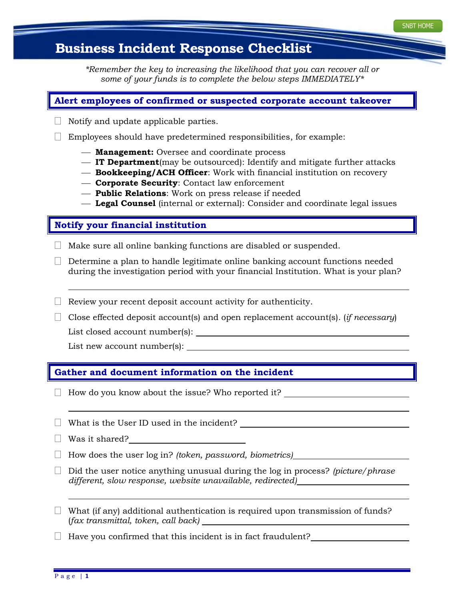# **Business Incident Response Checklist**

*\*Remember the key to increasing the likelihood that you can recover all or some of your funds is to complete the below steps IMMEDIATELY\**

### **Alert employees of confirmed or suspected corporate account takeover**

- $\Box$  Notify and update applicable parties.
- $\Box$  Employees should have predetermined responsibilities, for example:
	- **Management:** Oversee and coordinate process
	- **IT Department**(may be outsourced): Identify and mitigate further attacks
	- **Bookkeeping/ACH Officer**: Work with financial institution on recovery
	- **Corporate Security**: Contact law enforcement
	- **Public Relations**: Work on press release if needed
	- **Legal Counsel** (internal or external): Consider and coordinate legal issues

#### **Notify your financial institution**

- $\Box$  Make sure all online banking functions are disabled or suspended.
- $\Box$  Determine a plan to handle legitimate online banking account functions needed during the investigation period with your financial Institution. What is your plan?
- $\Box$  Review your recent deposit account activity for authenticity.
- $\Box$  Close effected deposit account(s) and open replacement account(s). (*if necessary*)

List closed account number(s):

List new account number(s):

#### **Gather and document information on the incident**

- $\Box$  How do you know about the issue? Who reported it?
- $\Box$  What is the User ID used in the incident?
- Was it shared?
- How does the user log in? *(token, password, biometrics)*
- Did the user notice anything unusual during the log in process? *(picture/phrase different, slow response, website unavailable, redirected)*
- $\Box$  What (if any) additional authentication is required upon transmission of funds? (*fax transmittal, token, call back)*

 $\Box$  Have you confirmed that this incident is in fact fraudulent?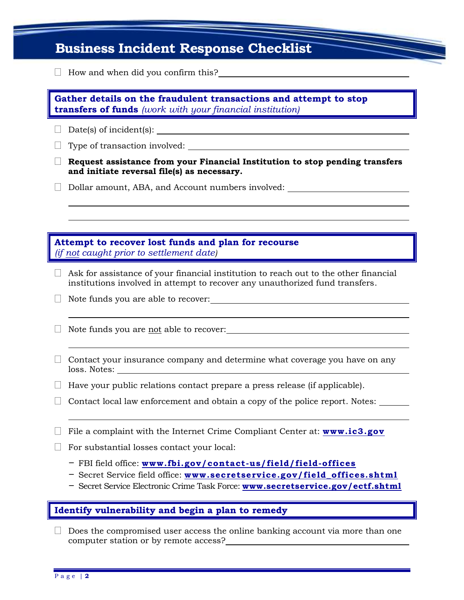| Gather details on the fraudulent transactions and attempt to stop<br><b>transfers of funds</b> (work with your financial institution) |                                                                                                                                                                      |
|---------------------------------------------------------------------------------------------------------------------------------------|----------------------------------------------------------------------------------------------------------------------------------------------------------------------|
|                                                                                                                                       |                                                                                                                                                                      |
|                                                                                                                                       |                                                                                                                                                                      |
|                                                                                                                                       | Request assistance from your Financial Institution to stop pending transfers<br>and initiate reversal file(s) as necessary.                                          |
|                                                                                                                                       | Dollar amount, ABA, and Account numbers involved: ______________________________                                                                                     |
|                                                                                                                                       |                                                                                                                                                                      |
|                                                                                                                                       | Attempt to recover lost funds and plan for recourse<br>(if not caught prior to settlement date)                                                                      |
|                                                                                                                                       | Ask for assistance of your financial institution to reach out to the other financial<br>institutions involved in attempt to recover any unauthorized fund transfers. |
|                                                                                                                                       |                                                                                                                                                                      |
|                                                                                                                                       |                                                                                                                                                                      |
|                                                                                                                                       | Note funds you are not able to recover:                                                                                                                              |
|                                                                                                                                       | Contact your insurance company and determine what coverage you have on any                                                                                           |
|                                                                                                                                       | Have your public relations contact prepare a press release (if applicable).                                                                                          |
|                                                                                                                                       | Contact local law enforcement and obtain a copy of the police report. Notes:                                                                                         |
|                                                                                                                                       | File a complaint with the Internet Crime Compliant Center at: www.ic3.gov                                                                                            |
|                                                                                                                                       | For substantial losses contact your local:                                                                                                                           |

Does the compromised user access the online banking account via more than one computer station or by remote access?